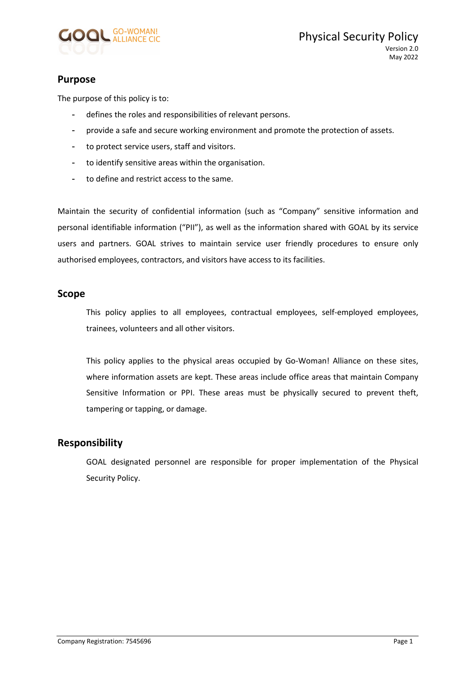

## Purpose

The purpose of this policy is to:

- defines the roles and responsibilities of relevant persons.
- provide a safe and secure working environment and promote the protection of assets.
- to protect service users, staff and visitors.
- to identify sensitive areas within the organisation.
- to define and restrict access to the same.

Maintain the security of confidential information (such as "Company" sensitive information and personal identifiable information ("PII"), as well as the information shared with GOAL by its service users and partners. GOAL strives to maintain service user friendly procedures to ensure only authorised employees, contractors, and visitors have access to its facilities.

#### Scope

This policy applies to all employees, contractual employees, self-employed employees, trainees, volunteers and all other visitors.

This policy applies to the physical areas occupied by Go-Woman! Alliance on these sites, where information assets are kept. These areas include office areas that maintain Company Sensitive Information or PPI. These areas must be physically secured to prevent theft, tampering or tapping, or damage.

### Responsibility

GOAL designated personnel are responsible for proper implementation of the Physical Security Policy.